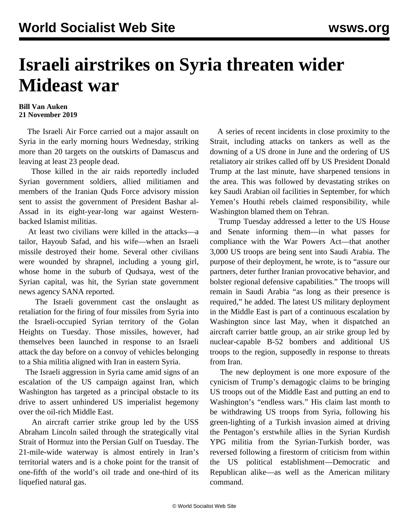## **Israeli airstrikes on Syria threaten wider Mideast war**

## **Bill Van Auken 21 November 2019**

 The Israeli Air Force carried out a major assault on Syria in the early morning hours Wednesday, striking more than 20 targets on the outskirts of Damascus and leaving at least 23 people dead.

 Those killed in the air raids reportedly included Syrian government soldiers, allied militiamen and members of the Iranian Quds Force advisory mission sent to assist the government of President Bashar al-Assad in its eight-year-long war against Westernbacked Islamist militias.

 At least two civilians were killed in the attacks—a tailor, Hayoub Safad, and his wife—when an Israeli missile destroyed their home. Several other civilians were wounded by shrapnel, including a young girl, whose home in the suburb of Qudsaya, west of the Syrian capital, was hit, the Syrian state government news agency SANA reported.

 The Israeli government cast the onslaught as retaliation for the firing of four missiles from Syria into the Israeli-occupied Syrian territory of the Golan Heights on Tuesday. Those missiles, however, had themselves been launched in response to an Israeli attack the day before on a convoy of vehicles belonging to a Shia militia aligned with Iran in eastern Syria.

 The Israeli aggression in Syria came amid signs of an escalation of the US campaign against Iran, which Washington has targeted as a principal obstacle to its drive to assert unhindered US imperialist hegemony over the oil-rich Middle East.

 An aircraft carrier strike group led by the USS Abraham Lincoln sailed through the strategically vital Strait of Hormuz into the Persian Gulf on Tuesday. The 21-mile-wide waterway is almost entirely in Iran's territorial waters and is a choke point for the transit of one-fifth of the world's oil trade and one-third of its liquefied natural gas.

 A series of recent incidents in close proximity to the Strait, including attacks on tankers as well as the downing of a US drone in June and the ordering of US retaliatory air strikes called off by US President Donald Trump at the last minute, have sharpened tensions in the area. This was followed by devastating strikes on key Saudi Arabian oil facilities in September, for which Yemen's Houthi rebels claimed responsibility, while Washington blamed them on Tehran.

 Trump Tuesday addressed a letter to the US House and Senate informing them—in what passes for compliance with the War Powers Act—that another 3,000 US troops are being sent into Saudi Arabia. The purpose of their deployment, he wrote, is to "assure our partners, deter further Iranian provocative behavior, and bolster regional defensive capabilities." The troops will remain in Saudi Arabia "as long as their presence is required," he added. The latest US military deployment in the Middle East is part of a continuous escalation by Washington since last May, when it dispatched an aircraft carrier battle group, an air strike group led by nuclear-capable B-52 bombers and additional US troops to the region, supposedly in response to threats from Iran.

 The new deployment is one more exposure of the cynicism of Trump's demagogic claims to be bringing US troops out of the Middle East and putting an end to Washington's "endless wars." His claim last month to be withdrawing US troops from Syria, following his green-lighting of a Turkish invasion aimed at driving the Pentagon's erstwhile allies in the Syrian Kurdish YPG militia from the Syrian-Turkish border, was reversed following a firestorm of criticism from within the US political establishment—Democratic and Republican alike—as well as the American military command.